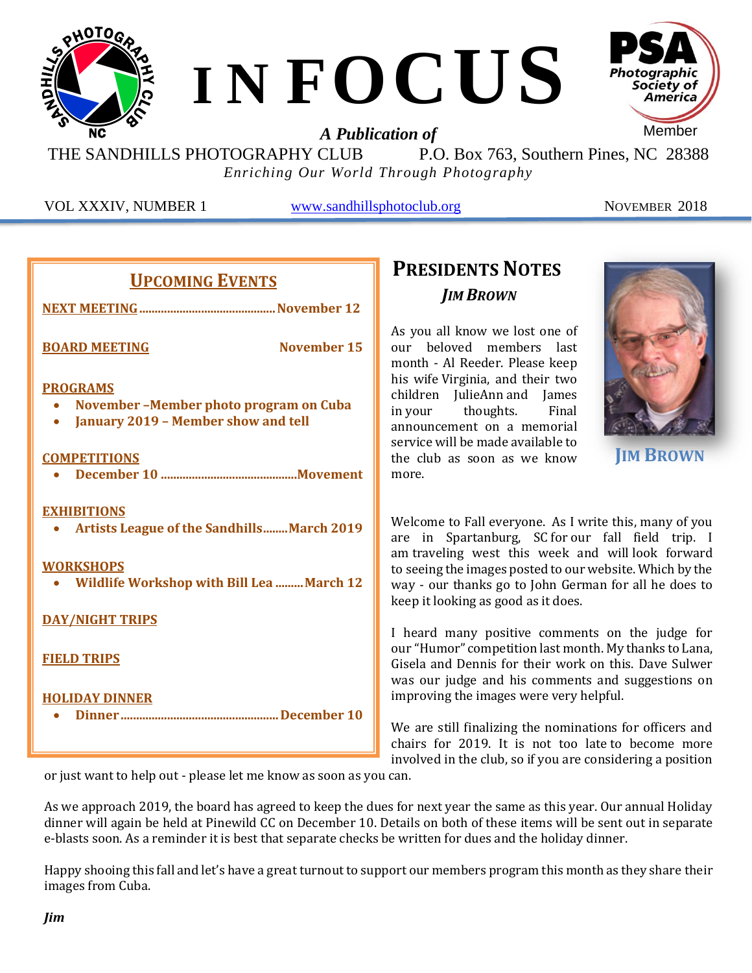

THE SANDHILLS PHOTOGRAPHY CLUB P.O. Box 763, Southern Pines, NC 28388 *Enriching Our World Through Photography*

VOL XXXIV, NUMBER 1 [www.sandhillsphotoclub.org](http://www.sandhillsphotoclub.org/) NOVEMBER 2018

| <b>UPCOMING EVENTS</b>                                                                                                                          | <b>PRE</b>                                       |
|-------------------------------------------------------------------------------------------------------------------------------------------------|--------------------------------------------------|
|                                                                                                                                                 |                                                  |
|                                                                                                                                                 |                                                  |
| <b>November 15</b><br><b>BOARD MEETING</b>                                                                                                      | As you<br>$_{\text{OIII}}$<br>month              |
| <b>PROGRAMS</b><br>November - Member photo program on Cuba<br>• January 2019 - Member show and tell                                             | his wi<br>childre<br>in you<br>annou:<br>service |
| <b>COMPETITIONS</b>                                                                                                                             | the clu                                          |
|                                                                                                                                                 | more.                                            |
| <b>EXHIBITIONS</b><br><b>Artists League of the Sandhills March 2019</b><br><b>WORKSHOPS</b><br><b>Wildlife Workshop with Bill Lea  March 12</b> | Welco<br>are ii<br>am tra<br>to seei<br>way -    |
| <b>DAY/NIGHT TRIPS</b>                                                                                                                          | keep it                                          |
| <b>FIELD TRIPS</b>                                                                                                                              | I hear<br>our "H<br>Gisela<br>Was of             |
| <b>HOLIDAY DINNER</b>                                                                                                                           | <i>improv</i>                                    |
|                                                                                                                                                 | We ar                                            |
|                                                                                                                                                 | chairs<br>involv                                 |

# **PRESIDENTS NOTES** *JIM BROWN*

all know we lost one of beloved members last - Al Reeder. Please keep fe Virginia, and their two en JulieAnn and James thoughts. Final ncement on a memorial e will be made available to ub as soon as we know



**JIM BROWN**

me to Fall everyone. As I write this, many of you n Spartanburg, SC for our fall field trip. I veling west this week and will look forward ng the images posted to our website. Which by the our thanks go to John German for all he does to looking as good as it does.

d many positive comments on the judge for umor" competition last month. My thanks to Lana, and Dennis for their work on this. Dave Sulwer ur judge and his comments and suggestions on ving the images were very helpful.

e still finalizing the nominations for officers and for 2019. It is not too late to become more involved in the club, so if you are considering a position

or just want to help out - please let me know as soon as you can.

As we approach 2019, the board has agreed to keep the dues for next year the same as this year. Our annual Holiday dinner will again be held at Pinewild CC on December 10. Details on both of these items will be sent out in separate e-blasts soon. As a reminder it is best that separate checks be written for dues and the holiday dinner.

Happy shooing this fall and let's have a great turnout to support our members program this month as they share their images from Cuba.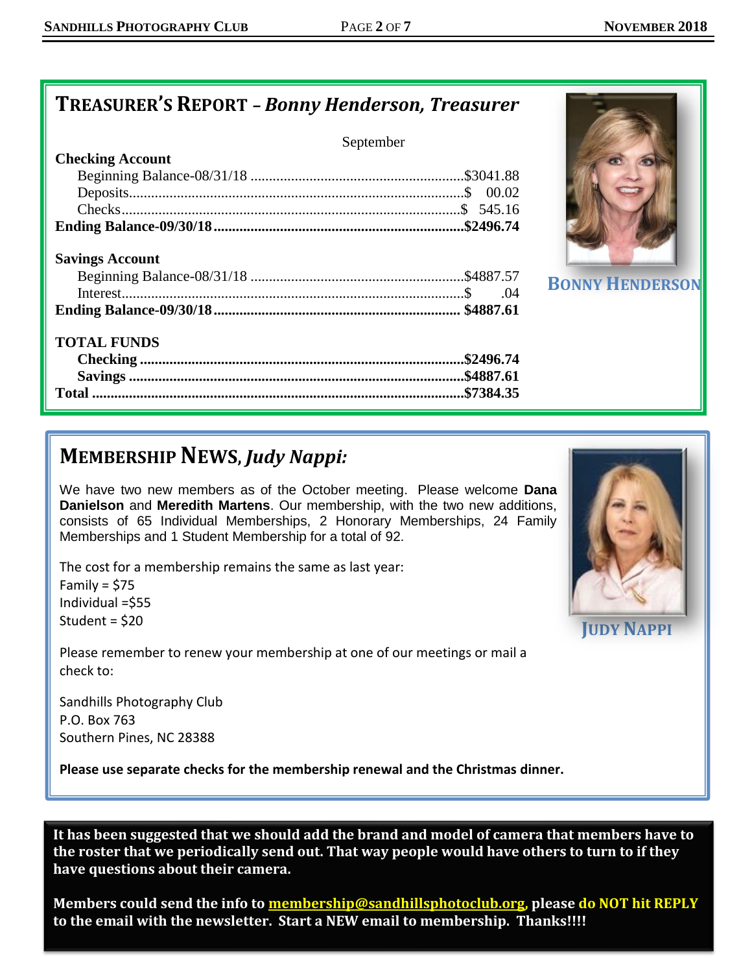## **TREASURER'S REPORT** *– Bonny Henderson, Treasurer*

### September

| <b>URCKING ACCOUNT</b> |  |
|------------------------|--|
|                        |  |
|                        |  |
|                        |  |
|                        |  |
|                        |  |

### **Savings Account**

**Checking Account**

### **TOTAL FUNDS**



**BONNY HENDERSON** 

# **MEMBERSHIPNEWS,** *Judy Nappi:*

We have two new members as of the October meeting. Please welcome **Dana Danielson** and **Meredith Martens**. Our membership, with the two new additions, consists of 65 Individual Memberships, 2 Honorary Memberships, 24 Family Memberships and 1 Student Membership for a total of 92.

The cost for a membership remains the same as last year: Family =  $$75$ Individual =\$55 Student = \$20



Sandhills Photography Club P.O. Box 763 Southern Pines, NC 28388

**Please use separate checks for the membership renewal and the Christmas dinner.**



**JUDY NAPPI**

**It has been suggested that we should add the brand and model of camera that members have to the roster that we periodically send out. That way people would have others to turn to if they have questions about their camera.** 

**Members could send the info to [membership@sandhillsphotoclub.org,](mailto:membership@sandhillsphotoclub.org) please do NOT hit REPLY to the email with the newsletter. Start a NEW email to membership. Thanks!!!!**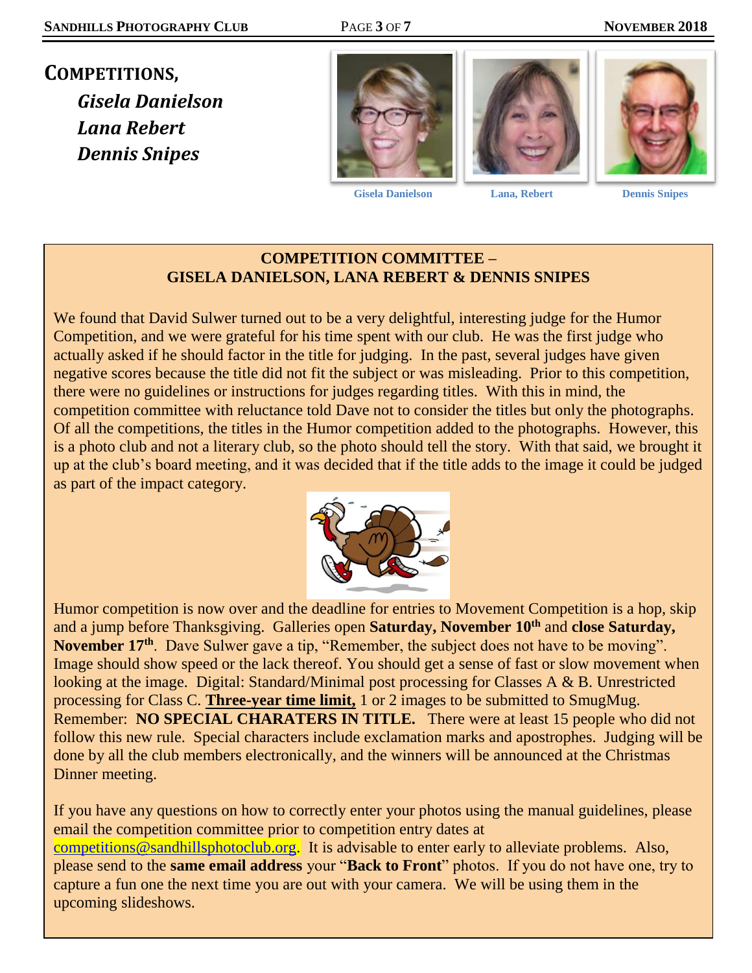**COMPETITIONS,** *Gisela Danielson Lana Rebert Dennis Snipes*



 **Gisela Danielson Lana, Rebert Dennis Snipes**





### **COMPETITION COMMITTEE – GISELA DANIELSON, LANA REBERT & DENNIS SNIPES**

We found that David Sulwer turned out to be a very delightful, interesting judge for the Humor Competition, and we were grateful for his time spent with our club. He was the first judge who actually asked if he should factor in the title for judging. In the past, several judges have given negative scores because the title did not fit the subject or was misleading. Prior to this competition, there were no guidelines or instructions for judges regarding titles. With this in mind, the competition committee with reluctance told Dave not to consider the titles but only the photographs. Of all the competitions, the titles in the Humor competition added to the photographs. However, this is a photo club and not a literary club, so the photo should tell the story. With that said, we brought it up at the club's board meeting, and it was decided that if the title adds to the image it could be judged as part of the impact category.



Humor competition is now over and the deadline for entries to Movement Competition is a hop, skip and a jump before Thanksgiving. Galleries open **Saturday, November 10th** and **close Saturday, November 17th**. Dave Sulwer gave a tip, "Remember, the subject does not have to be moving". Image should show speed or the lack thereof. You should get a sense of fast or slow movement when looking at the image. Digital: Standard/Minimal post processing for Classes A & B. Unrestricted processing for Class C. **Three-year time limit,** 1 or 2 images to be submitted to SmugMug. Remember: **NO SPECIAL CHARATERS IN TITLE.** There were at least 15 people who did not follow this new rule. Special characters include exclamation marks and apostrophes. Judging will be done by all the club members electronically, and the winners will be announced at the Christmas Dinner meeting.

If you have any questions on how to correctly enter your photos using the manual guidelines, please email the competition committee prior to competition entry dates at [competitions@sandhillsphotoclub.org.](mailto:competitions@sandhillsphotoclub.org) It is advisable to enter early to alleviate problems. Also, please send to the **same email address** your "**Back to Front**" photos. If you do not have one, try to capture a fun one the next time you are out with your camera. We will be using them in the upcoming slideshows.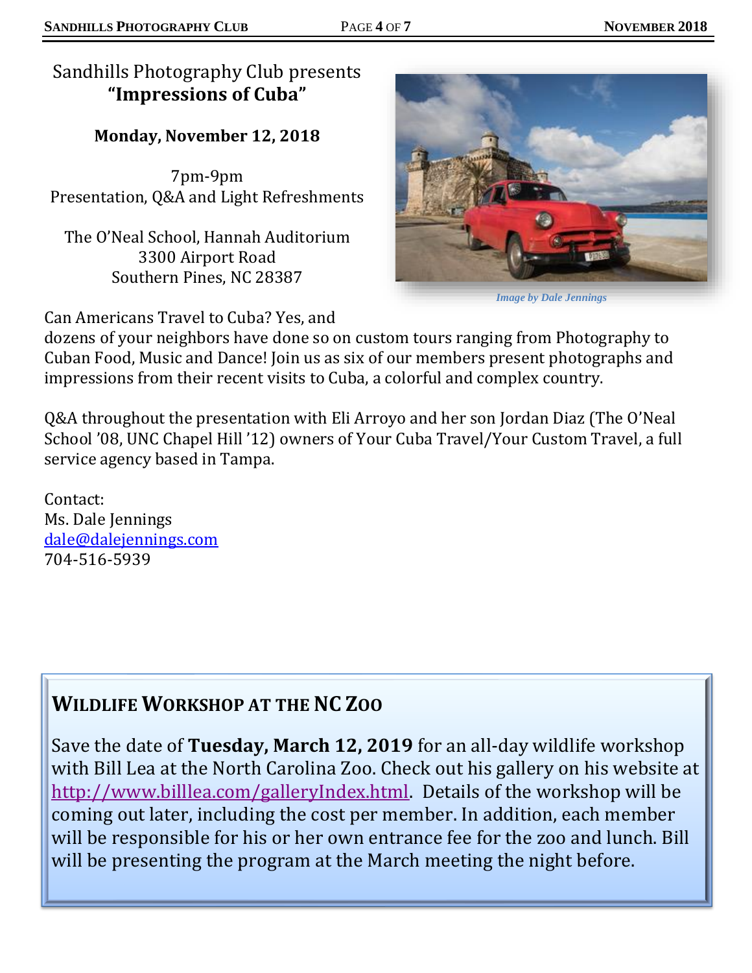**Monday, November 12, 2018**

7pm-9pm Presentation, Q&A and Light Refreshments

The O'Neal School, Hannah Auditorium 3300 Airport Road Southern Pines, NC 28387

Can Americans Travel to Cuba? Yes, and

dozens of your neighbors have done so on custom tours ranging from Photography to Cuban Food, Music and Dance! Join us as six of our members present photographs and impressions from their recent visits to Cuba, a colorful and complex country.

Q&A throughout the presentation with Eli Arroyo and her son Jordan Diaz (The O'Neal School '08, UNC Chapel Hill '12) owners of Your Cuba Travel/Your Custom Travel, a full service agency based in Tampa.

Contact: Ms. Dale Jennings [dale@dalejennings.com](mailto:dale@dalejennings.com) 704-516-5939

# **WILDLIFE WORKSHOP AT THE NC ZOO**

Save the date of **Tuesday, March 12, 2019** for an all-day wildlife workshop with Bill Lea at the North Carolina Zoo. Check out his gallery on his website at [http://www.billlea.com/galleryIndex.html.](http://www.billlea.com/galleryIndex.html) Details of the workshop will be coming out later, including the cost per member. In addition, each member will be responsible for his or her own entrance fee for the zoo and lunch. Bill will be presenting the program at the March meeting the night before.

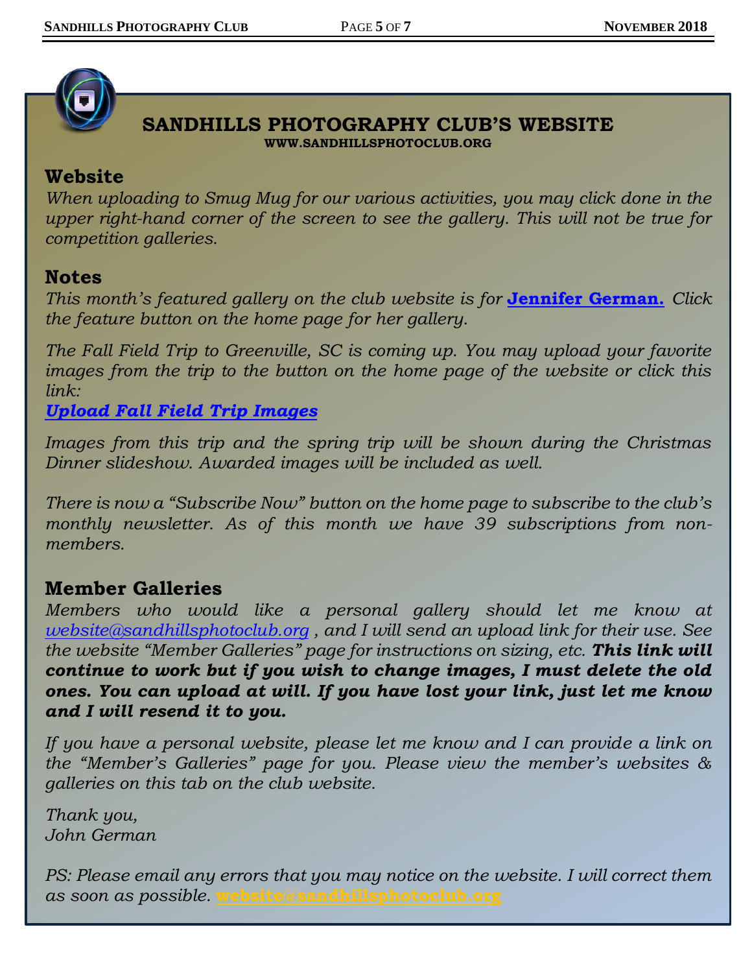

### **SANDHILLS PHOTOGRAPHY CLUB'S WEBSITE WWW.SANDHILLSPHOTOCLUB.ORG**

## **Website**

*When uploading to Smug Mug for our various activities, you may click done in the upper right-hand corner of the screen to see the gallery. This will not be true for competition galleries.* 

## **Notes**

*This month's featured gallery on the club website is for* **[Jennifer German.](https://sandhillsphotoclub.smugmug.com/Member-Galleries/John-German/Slideshow-for-Website/n-28xxL)** *Click the feature button on the home page for her gallery.* 

*The Fall Field Trip to Greenville, SC is coming up. You may upload your favorite images from the trip to the button on the home page of the website or click this link:*

## *[Upload Fall Field Trip Images](https://sandhillsphotoclub.smugmug.com/upload/kVfScf/GreenvilleSC)*

*Images from this trip and the spring trip will be shown during the Christmas Dinner slideshow. Awarded images will be included as well.*

*There is now a "Subscribe Now" button on the home page to subscribe to the club's monthly newsletter. As of this month we have 39 subscriptions from nonmembers.*

## **Member Galleries**

*Members who would like a personal gallery should let me know at [website@sandhillsphotoclub.org](mailto:website@sandhillsphotoclub.org) , and I will send an upload link for their use. See the website "Member Galleries" page for instructions on sizing, etc. This link will continue to work but if you wish to change images, I must delete the old ones. You can upload at will. If you have lost your link, just let me know and I will resend it to you.*

*If you have a personal website, please let me know and I can provide a link on the "Member's Galleries" page for you. Please view the member's websites & galleries on this tab on the club website.* 

*Thank you, John German*

*PS: Please email any errors that you may notice on the website. I will correct them as soon as possible.* **[website@sandhillsphotoclub.org](mailto:website@sandhillsphotoclub.org)**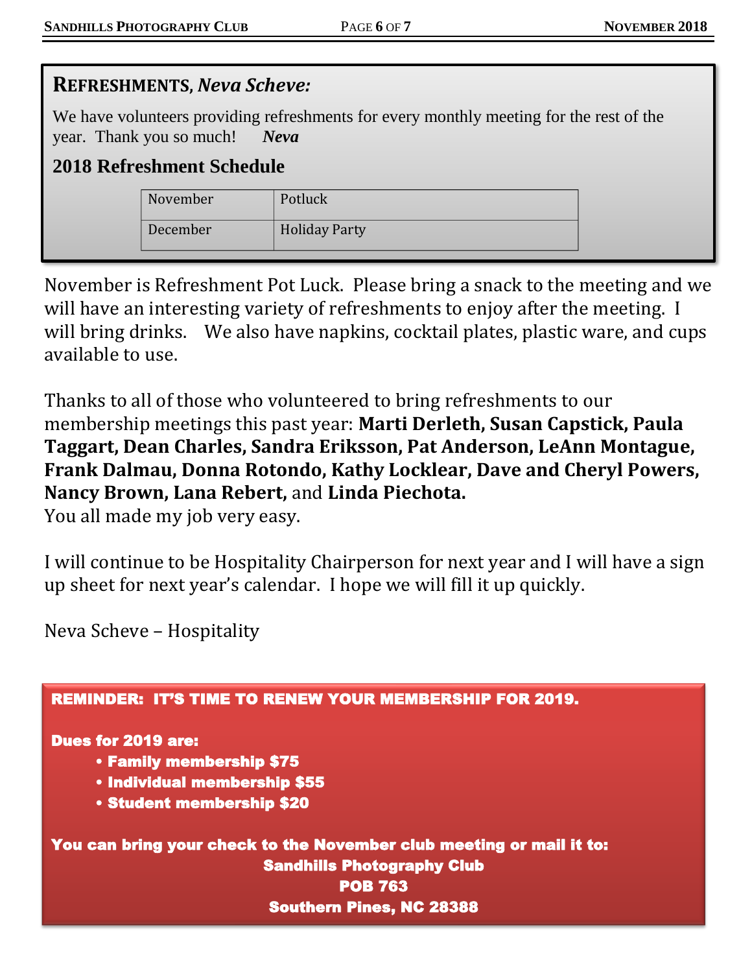| <b>REFRESHMENTS, Neva Scheve:</b>                                                                                                                                      |          |                      |  |
|------------------------------------------------------------------------------------------------------------------------------------------------------------------------|----------|----------------------|--|
| We have volunteers providing refreshments for every monthly meeting for the rest of the<br>year. Thank you so much!<br><b>Neva</b><br><b>2018 Refreshment Schedule</b> |          |                      |  |
|                                                                                                                                                                        | November | Potluck              |  |
|                                                                                                                                                                        | December | <b>Holiday Party</b> |  |

November is Refreshment Pot Luck. Please bring a snack to the meeting and we will have an interesting variety of refreshments to enjoy after the meeting. I will bring drinks. We also have napkins, cocktail plates, plastic ware, and cups available to use.

Thanks to all of those who volunteered to bring refreshments to our membership meetings this past year: **Marti Derleth, Susan Capstick, Paula Taggart, Dean Charles, Sandra Eriksson, Pat Anderson, LeAnn Montague, Frank Dalmau, Donna Rotondo, Kathy Locklear, Dave and Cheryl Powers, Nancy Brown, Lana Rebert,** and **Linda Piechota.**

You all made my job very easy.

I will continue to be Hospitality Chairperson for next year and I will have a sign up sheet for next year's calendar. I hope we will fill it up quickly.

Neva Scheve – Hospitality

| <b>REMINDER: IT'S TIME TO RENEW YOUR MEMBERSHIP FOR 2019.</b>        |
|----------------------------------------------------------------------|
| <b>Dues for 2019 are:</b>                                            |
| • Family membership \$75                                             |
| • Individual membership \$55                                         |
| <b>• Student membership \$20</b>                                     |
| You can bring your check to the November club meeting or mail it to: |
| <b>Sandhills Photography Club</b>                                    |
| <b>POB 763</b>                                                       |
| <b>Southern Pines, NC 28388</b>                                      |